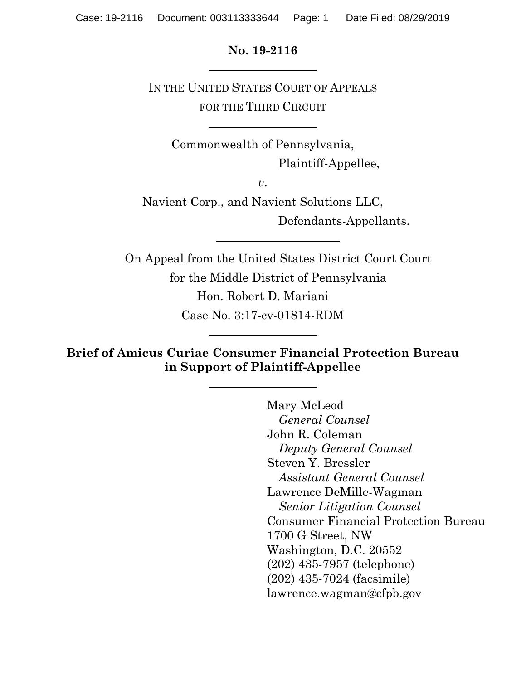#### **No. 19-2116**

IN THE UNITED STATES COURT OF APPEALS FOR THE THIRD CIRCUIT

Commonwealth of Pennsylvania, Plaintiff-Appellee,

*v*.

Navient Corp., and Navient Solutions LLC, Defendants-Appellants.

On Appeal from the United States District Court Court for the Middle District of Pennsylvania Hon. Robert D. Mariani Case No. 3:17-cv-01814-RDM

**Brief of Amicus Curiae Consumer Financial Protection Bureau in Support of Plaintiff-Appellee** 

> Mary McLeod *General Counsel* John R. Coleman *Deputy General Counsel*  Steven Y. Bressler *Assistant General Counsel*  Lawrence DeMille-Wagman *Senior Litigation Counsel*  Consumer Financial Protection Bureau 1700 G Street, NW Washington, D.C. 20552 (202) 435-7957 (telephone) (202) 435-7024 (facsimile) lawrence.wagman@cfpb.gov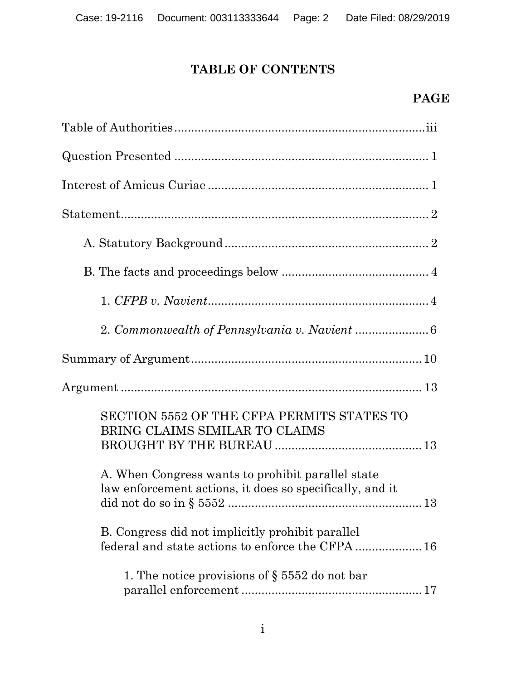# **TABLE OF CONTENTS**

## **PAGE**

| SECTION 5552 OF THE CFPA PERMITS STATES TO<br>BRING CLAIMS SIMILAR TO CLAIMS                                  |
|---------------------------------------------------------------------------------------------------------------|
| A. When Congress wants to prohibit parallel state<br>law enforcement actions, it does so specifically, and it |
| B. Congress did not implicitly prohibit parallel<br>federal and state actions to enforce the CFPA  16         |
| 1. The notice provisions of $\S 5552$ do not bar                                                              |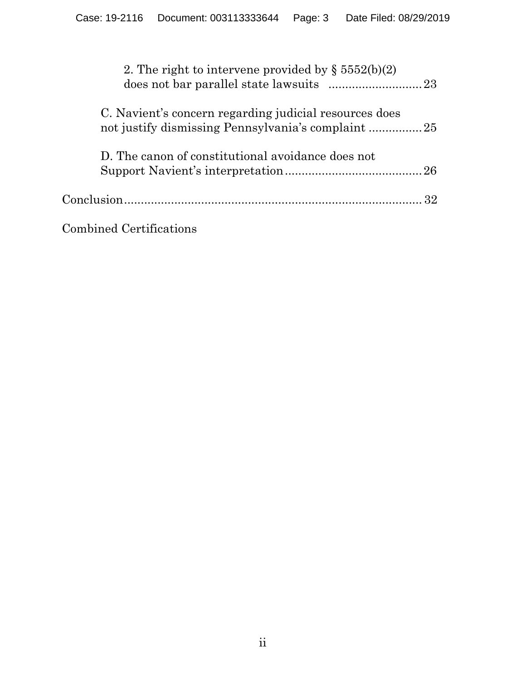| 2. The right to intervene provided by $\S 5552(b)(2)$  |  |
|--------------------------------------------------------|--|
| C. Navient's concern regarding judicial resources does |  |
| D. The canon of constitutional avoidance does not      |  |
|                                                        |  |
|                                                        |  |

Combined Certifications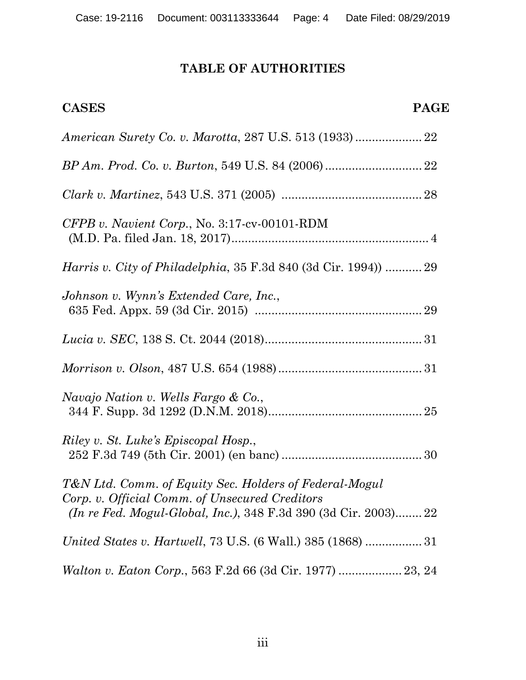# **TABLE OF AUTHORITIES**

| <b>PAGE</b><br><b>CASES</b>                                                                                                                                                        |
|------------------------------------------------------------------------------------------------------------------------------------------------------------------------------------|
|                                                                                                                                                                                    |
|                                                                                                                                                                                    |
|                                                                                                                                                                                    |
| $CFPB$ v. Navient Corp., No. 3:17-cv-00101-RDM                                                                                                                                     |
| <i>Harris v. City of Philadelphia, 35 F.3d 840 (3d Cir. 1994)</i> 29                                                                                                               |
| Johnson v. Wynn's Extended Care, Inc.,                                                                                                                                             |
|                                                                                                                                                                                    |
|                                                                                                                                                                                    |
| Navajo Nation v. Wells Fargo & Co.,                                                                                                                                                |
| Riley v. St. Luke's Episcopal Hosp.,                                                                                                                                               |
| T&N Ltd. Comm. of Equity Sec. Holders of Federal-Mogul<br>Corp. v. Official Comm. of Unsecured Creditors<br><i>(In re Fed. Mogul-Global, Inc.),</i> 348 F.3d 390 (3d Cir. 2003) 22 |
| United States v. Hartwell, 73 U.S. (6 Wall.) 385 (1868)  31                                                                                                                        |
| Walton v. Eaton Corp., 563 F.2d 66 (3d Cir. 1977)  23, 24                                                                                                                          |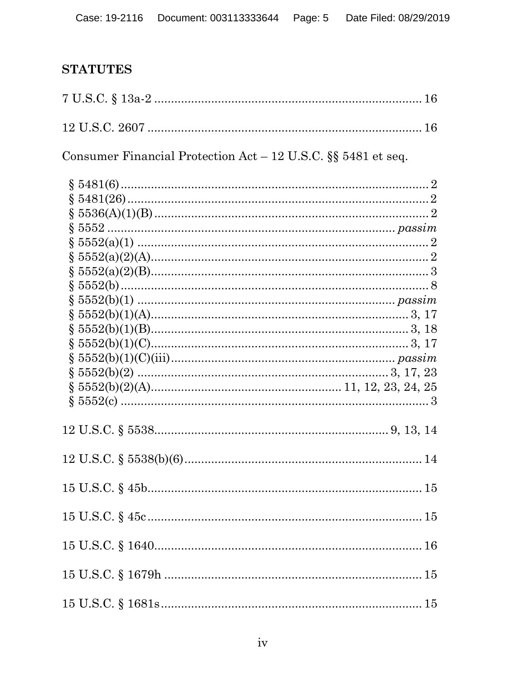# **STATUTES**

Consumer Financial Protection Act - 12 U.S.C.  $\S$  5481 et seq.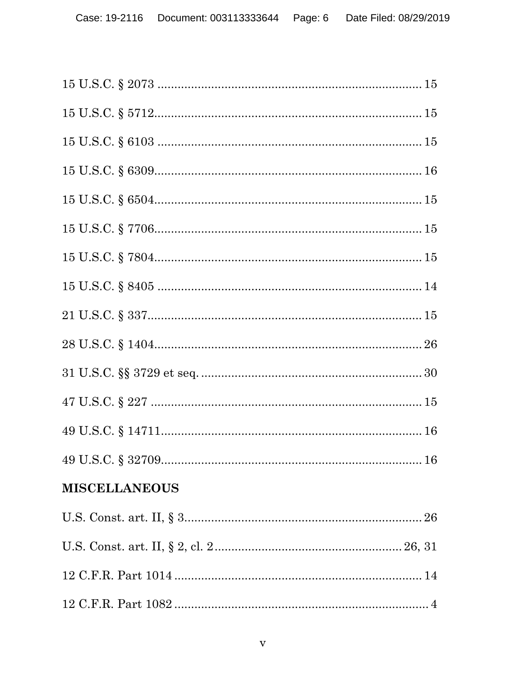| <b>MISCELLANEOUS</b> |
|----------------------|
|                      |
|                      |
|                      |
|                      |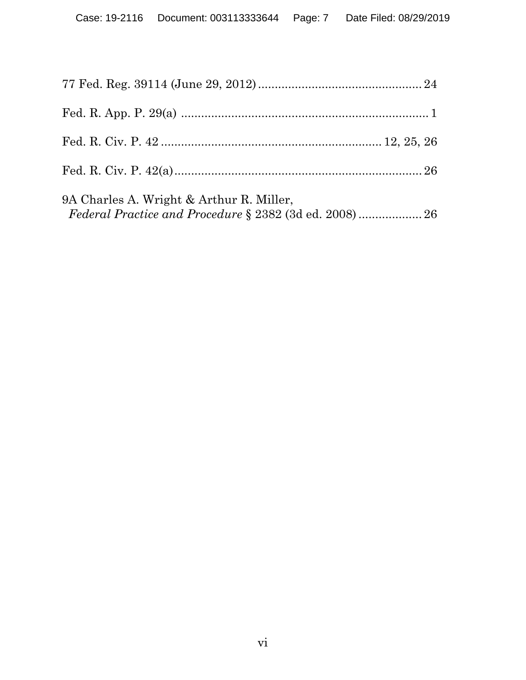| 9A Charles A. Wright & Arthur R. Miller, |  |
|------------------------------------------|--|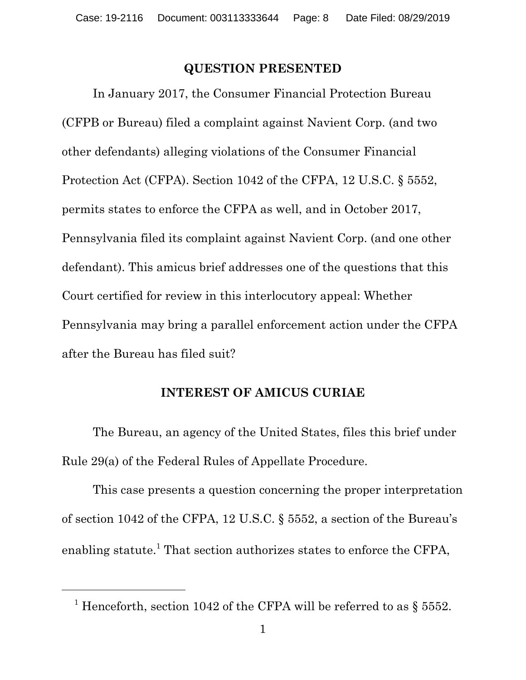#### **QUESTION PRESENTED**

In January 2017, the Consumer Financial Protection Bureau (CFPB or Bureau) filed a complaint against Navient Corp. (and two other defendants) alleging violations of the Consumer Financial Protection Act (CFPA). Section 1042 of the CFPA, 12 U.S.C. § 5552, permits states to enforce the CFPA as well, and in October 2017, Pennsylvania filed its complaint against Navient Corp. (and one other defendant). This amicus brief addresses one of the questions that this Court certified for review in this interlocutory appeal: Whether Pennsylvania may bring a parallel enforcement action under the CFPA after the Bureau has filed suit?

#### **INTEREST OF AMICUS CURIAE**

The Bureau, an agency of the United States, files this brief under Rule 29(a) of the Federal Rules of Appellate Procedure.

This case presents a question concerning the proper interpretation of section 1042 of the CFPA, 12 U.S.C. § 5552, a section of the Bureau's enabling statute.<sup>1</sup> That section authorizes states to enforce the CFPA,

<sup>&</sup>lt;sup>1</sup> Henceforth, section 1042 of the CFPA will be referred to as  $\S 5552$ .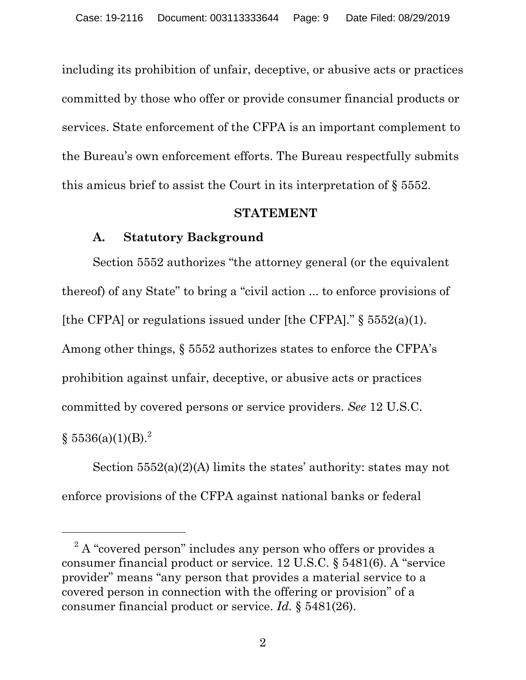including its prohibition of unfair, deceptive, or abusive acts or practices committed by those who offer or provide consumer financial products or services. State enforcement of the CFPA is an important complement to the Bureau's own enforcement efforts. The Bureau respectfully submits this amicus brief to assist the Court in its interpretation of § 5552.

#### **STATEMENT**

## **A. Statutory Background**

-

 Section 5552 authorizes "the attorney general (or the equivalent thereof) of any State" to bring a "civil action ... to enforce provisions of [the CFPA] or regulations issued under [the CFPA]*.*" § 5552(a)(1). Among other things, § 5552 authorizes states to enforce the CFPA's prohibition against unfair, deceptive, or abusive acts or practices committed by covered persons or service providers. *See* 12 U.S.C.  $\S~5536(a)(1)(B).^2$ 

Section 5552(a)(2)(A) limits the states' authority: states may not enforce provisions of the CFPA against national banks or federal

 $2^2$  A "covered person" includes any person who offers or provides a consumer financial product or service. 12 U.S.C. § 5481(6). A "service provider" means "any person that provides a material service to a covered person in connection with the offering or provision" of a consumer financial product or service. *Id.* § 5481(26).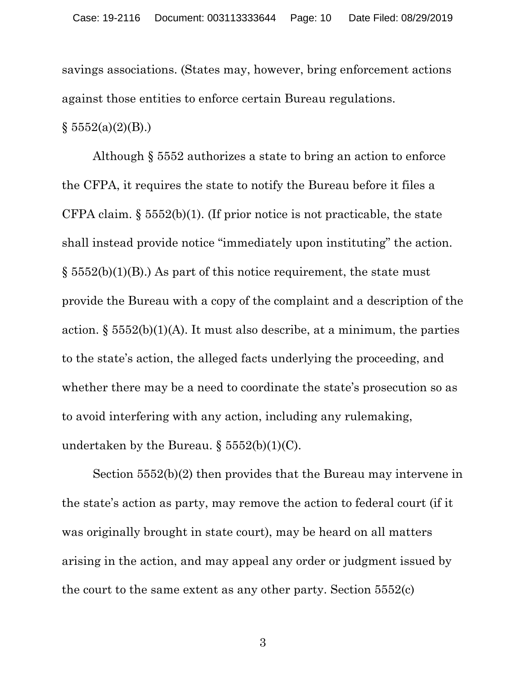savings associations. (States may, however, bring enforcement actions against those entities to enforce certain Bureau regulations.

 $§ 5552(a)(2)(B).)$ 

Although § 5552 authorizes a state to bring an action to enforce the CFPA, it requires the state to notify the Bureau before it files a CFPA claim.  $\S 5552(b)(1)$ . (If prior notice is not practicable, the state shall instead provide notice "immediately upon instituting" the action.  $\S$  5552(b)(1)(B).) As part of this notice requirement, the state must provide the Bureau with a copy of the complaint and a description of the action.  $\S$  5552(b)(1)(A). It must also describe, at a minimum, the parties to the state's action, the alleged facts underlying the proceeding, and whether there may be a need to coordinate the state's prosecution so as to avoid interfering with any action, including any rulemaking, undertaken by the Bureau.  $\S 5552(b)(1)(C)$ .

Section 5552(b)(2) then provides that the Bureau may intervene in the state's action as party, may remove the action to federal court (if it was originally brought in state court), may be heard on all matters arising in the action, and may appeal any order or judgment issued by the court to the same extent as any other party. Section 5552(c)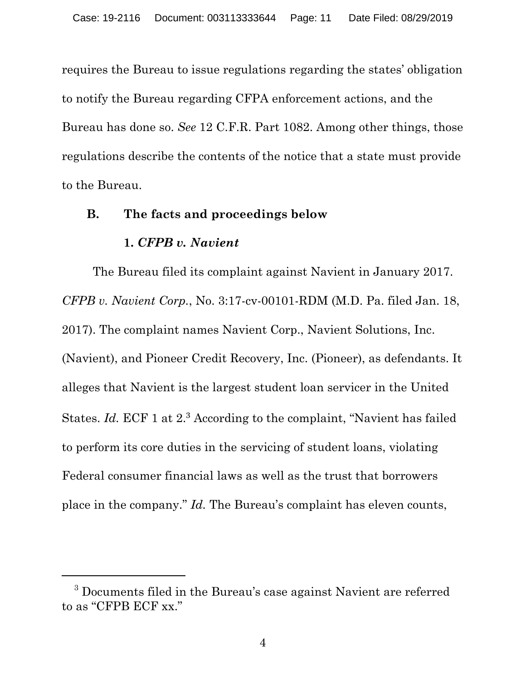requires the Bureau to issue regulations regarding the states' obligation to notify the Bureau regarding CFPA enforcement actions, and the Bureau has done so. *See* 12 C.F.R. Part 1082. Among other things, those regulations describe the contents of the notice that a state must provide to the Bureau.

#### **B. The facts and proceedings below**

#### **1.** *CFPB v. Navient*

 $\overline{a}$ 

The Bureau filed its complaint against Navient in January 2017. *CFPB v. Navient Corp.*, No. 3:17-cv-00101-RDM (M.D. Pa. filed Jan. 18, 2017). The complaint names Navient Corp., Navient Solutions, Inc. (Navient), and Pioneer Credit Recovery, Inc. (Pioneer), as defendants. It alleges that Navient is the largest student loan servicer in the United States. *Id.* ECF 1 at 2.<sup>3</sup> According to the complaint, "Navient has failed to perform its core duties in the servicing of student loans, violating Federal consumer financial laws as well as the trust that borrowers place in the company." *Id.* The Bureau's complaint has eleven counts,

<sup>&</sup>lt;sup>3</sup> Documents filed in the Bureau's case against Navient are referred to as "CFPB ECF xx."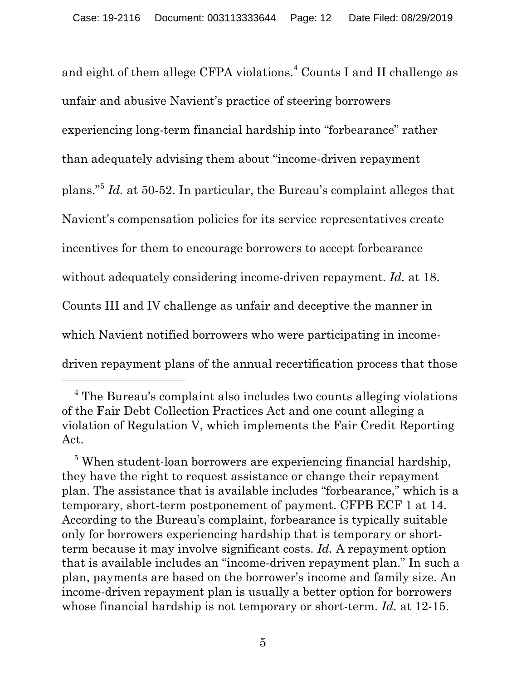and eight of them allege CFPA violations.<sup>4</sup> Counts I and II challenge as unfair and abusive Navient's practice of steering borrowers experiencing long-term financial hardship into "forbearance" rather than adequately advising them about "income-driven repayment plans."<sup>5</sup> *Id.* at 50-52. In particular, the Bureau's complaint alleges that Navient's compensation policies for its service representatives create incentives for them to encourage borrowers to accept forbearance without adequately considering income-driven repayment. *Id.* at 18. Counts III and IV challenge as unfair and deceptive the manner in which Navient notified borrowers who were participating in incomedriven repayment plans of the annual recertification process that those

<u>.</u>

<sup>&</sup>lt;sup>4</sup> The Bureau's complaint also includes two counts alleging violations of the Fair Debt Collection Practices Act and one count alleging a violation of Regulation V, which implements the Fair Credit Reporting Act.

<sup>&</sup>lt;sup>5</sup> When student-loan borrowers are experiencing financial hardship, they have the right to request assistance or change their repayment plan. The assistance that is available includes "forbearance," which is a temporary, short-term postponement of payment. CFPB ECF 1 at 14. According to the Bureau's complaint, forbearance is typically suitable only for borrowers experiencing hardship that is temporary or shortterm because it may involve significant costs. *Id.* A repayment option that is available includes an "income-driven repayment plan." In such a plan, payments are based on the borrower's income and family size. An income-driven repayment plan is usually a better option for borrowers whose financial hardship is not temporary or short-term. *Id.* at 12-15.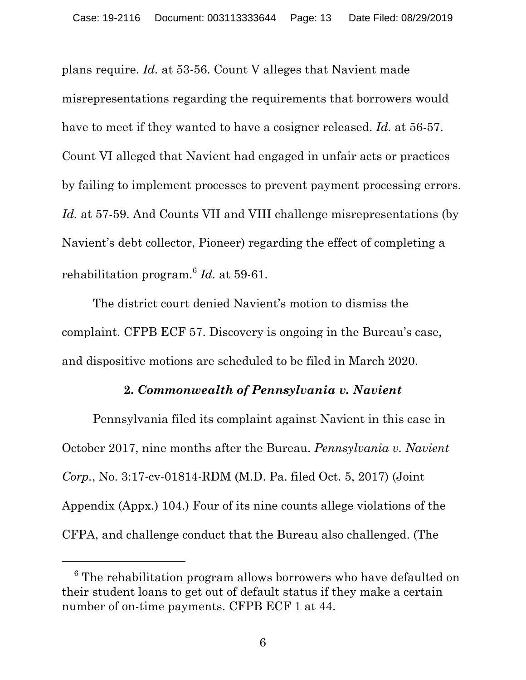plans require. *Id.* at 53-56. Count V alleges that Navient made misrepresentations regarding the requirements that borrowers would have to meet if they wanted to have a cosigner released. *Id.* at 56-57. Count VI alleged that Navient had engaged in unfair acts or practices by failing to implement processes to prevent payment processing errors. *Id.* at 57-59. And Counts VII and VIII challenge misrepresentations (by Navient's debt collector, Pioneer) regarding the effect of completing a rehabilitation program.<sup>6</sup> *Id.* at 59-61.

The district court denied Navient's motion to dismiss the complaint. CFPB ECF 57. Discovery is ongoing in the Bureau's case, and dispositive motions are scheduled to be filed in March 2020.

#### **2.** *Commonwealth of Pennsylvania v. Navient*

Pennsylvania filed its complaint against Navient in this case in October 2017, nine months after the Bureau. *Pennsylvania v. Navient Corp.*, No. 3:17-cv-01814-RDM (M.D. Pa. filed Oct. 5, 2017) (Joint Appendix (Appx.) 104.) Four of its nine counts allege violations of the CFPA, and challenge conduct that the Bureau also challenged. (The

 $\overline{a}$ 

 $6$  The rehabilitation program allows borrowers who have defaulted on their student loans to get out of default status if they make a certain number of on-time payments. CFPB ECF 1 at 44.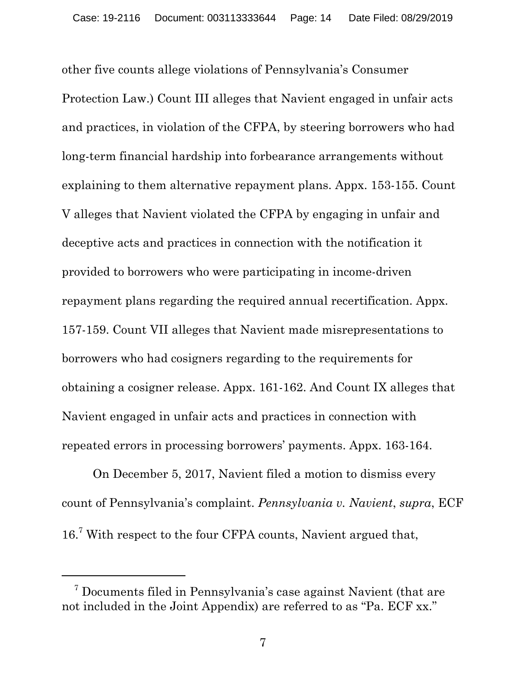other five counts allege violations of Pennsylvania's Consumer Protection Law.) Count III alleges that Navient engaged in unfair acts and practices, in violation of the CFPA, by steering borrowers who had long-term financial hardship into forbearance arrangements without explaining to them alternative repayment plans. Appx. 153-155. Count V alleges that Navient violated the CFPA by engaging in unfair and deceptive acts and practices in connection with the notification it provided to borrowers who were participating in income-driven repayment plans regarding the required annual recertification. Appx. 157-159. Count VII alleges that Navient made misrepresentations to borrowers who had cosigners regarding to the requirements for obtaining a cosigner release. Appx. 161-162. And Count IX alleges that Navient engaged in unfair acts and practices in connection with repeated errors in processing borrowers' payments. Appx. 163-164.

On December 5, 2017, Navient filed a motion to dismiss every count of Pennsylvania's complaint. *Pennsylvania v. Navient*, *supra*, ECF 16.<sup>7</sup> With respect to the four CFPA counts, Navient argued that,

<sup>7</sup> Documents filed in Pennsylvania's case against Navient (that are not included in the Joint Appendix) are referred to as "Pa. ECF xx."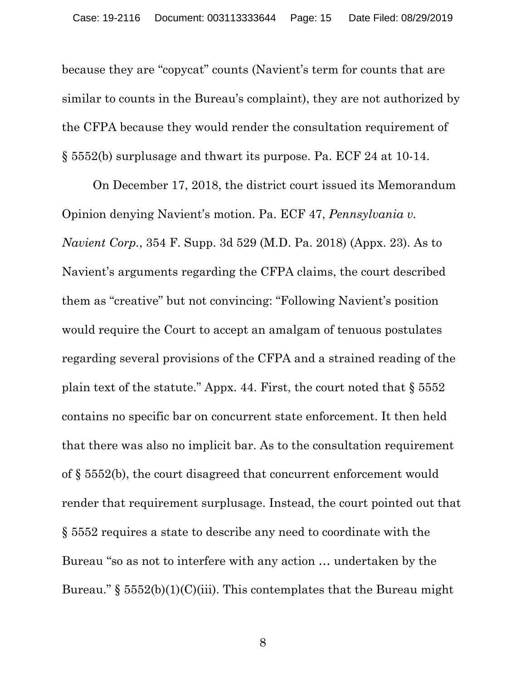because they are "copycat" counts (Navient's term for counts that are similar to counts in the Bureau's complaint), they are not authorized by the CFPA because they would render the consultation requirement of § 5552(b) surplusage and thwart its purpose. Pa. ECF 24 at 10-14.

On December 17, 2018, the district court issued its Memorandum Opinion denying Navient's motion. Pa. ECF 47, *Pennsylvania v. Navient Corp.*, 354 F. Supp. 3d 529 (M.D. Pa. 2018) (Appx. 23). As to Navient's arguments regarding the CFPA claims, the court described them as "creative" but not convincing: "Following Navient's position would require the Court to accept an amalgam of tenuous postulates regarding several provisions of the CFPA and a strained reading of the plain text of the statute." Appx. 44. First, the court noted that  $\S 5552$ contains no specific bar on concurrent state enforcement. It then held that there was also no implicit bar. As to the consultation requirement of § 5552(b), the court disagreed that concurrent enforcement would render that requirement surplusage. Instead, the court pointed out that § 5552 requires a state to describe any need to coordinate with the Bureau "so as not to interfere with any action … undertaken by the Bureau." §  $5552(b)(1)(C)(iii)$ . This contemplates that the Bureau might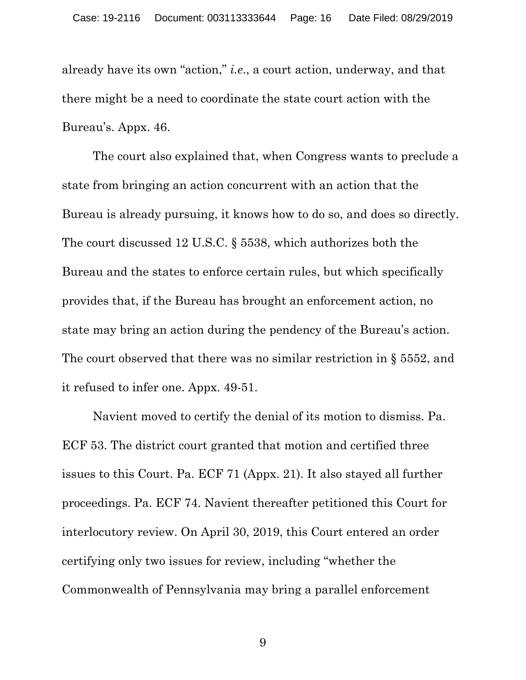already have its own "action," *i.e*., a court action, underway, and that there might be a need to coordinate the state court action with the Bureau's. Appx. 46.

The court also explained that, when Congress wants to preclude a state from bringing an action concurrent with an action that the Bureau is already pursuing, it knows how to do so, and does so directly. The court discussed 12 U.S.C. § 5538, which authorizes both the Bureau and the states to enforce certain rules, but which specifically provides that, if the Bureau has brought an enforcement action, no state may bring an action during the pendency of the Bureau's action. The court observed that there was no similar restriction in § 5552, and it refused to infer one. Appx. 49-51.

Navient moved to certify the denial of its motion to dismiss. Pa. ECF 53. The district court granted that motion and certified three issues to this Court. Pa. ECF 71 (Appx. 21). It also stayed all further proceedings. Pa. ECF 74. Navient thereafter petitioned this Court for interlocutory review. On April 30, 2019, this Court entered an order certifying only two issues for review, including "whether the Commonwealth of Pennsylvania may bring a parallel enforcement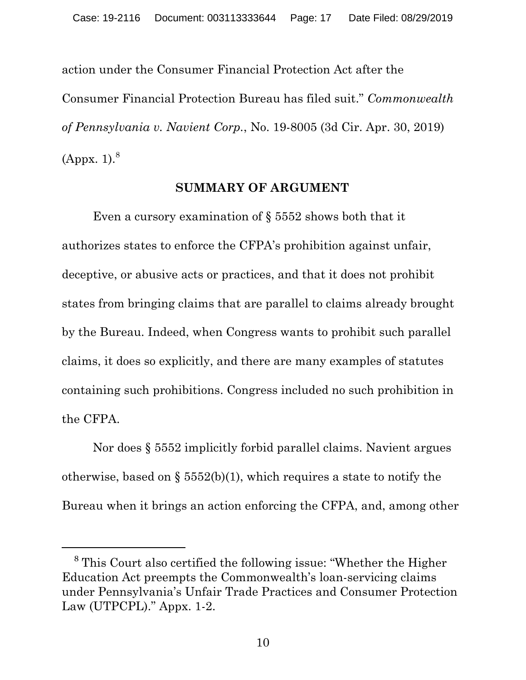action under the Consumer Financial Protection Act after the Consumer Financial Protection Bureau has filed suit." *Commonwealth of Pennsylvania v. Navient Corp.*, No. 19-8005 (3d Cir. Apr. 30, 2019) (Appx. 1). $^8$ 

#### **SUMMARY OF ARGUMENT**

Even a cursory examination of § 5552 shows both that it authorizes states to enforce the CFPA's prohibition against unfair, deceptive, or abusive acts or practices, and that it does not prohibit states from bringing claims that are parallel to claims already brought by the Bureau. Indeed, when Congress wants to prohibit such parallel claims, it does so explicitly, and there are many examples of statutes containing such prohibitions. Congress included no such prohibition in the CFPA.

Nor does § 5552 implicitly forbid parallel claims. Navient argues otherwise, based on  $\S$  5552(b)(1), which requires a state to notify the Bureau when it brings an action enforcing the CFPA, and, among other

 <sup>8</sup> This Court also certified the following issue: "Whether the Higher Education Act preempts the Commonwealth's loan-servicing claims under Pennsylvania's Unfair Trade Practices and Consumer Protection Law (UTPCPL)." Appx. 1-2.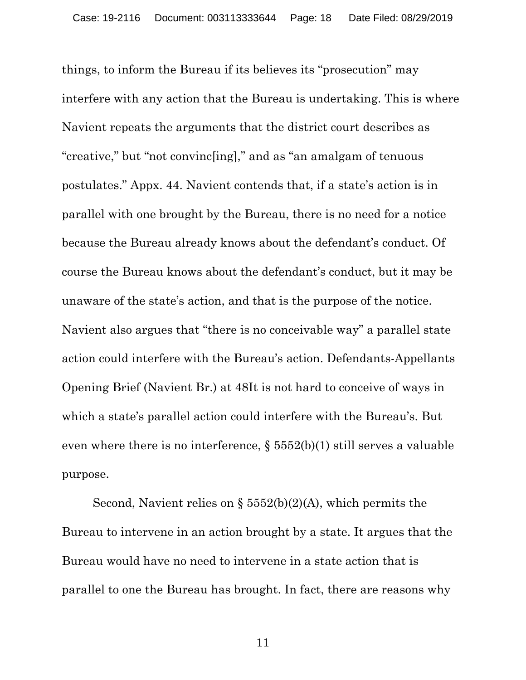things, to inform the Bureau if its believes its "prosecution" may interfere with any action that the Bureau is undertaking. This is where Navient repeats the arguments that the district court describes as "creative," but "not convinc[ing]," and as "an amalgam of tenuous postulates." Appx. 44. Navient contends that, if a state's action is in parallel with one brought by the Bureau, there is no need for a notice because the Bureau already knows about the defendant's conduct. Of course the Bureau knows about the defendant's conduct, but it may be unaware of the state's action, and that is the purpose of the notice. Navient also argues that "there is no conceivable way" a parallel state action could interfere with the Bureau's action. Defendants-Appellants Opening Brief (Navient Br.) at 48It is not hard to conceive of ways in which a state's parallel action could interfere with the Bureau's. But even where there is no interference, § 5552(b)(1) still serves a valuable purpose.

Second, Navient relies on  $\S$  5552(b)(2)(A), which permits the Bureau to intervene in an action brought by a state. It argues that the Bureau would have no need to intervene in a state action that is parallel to one the Bureau has brought. In fact, there are reasons why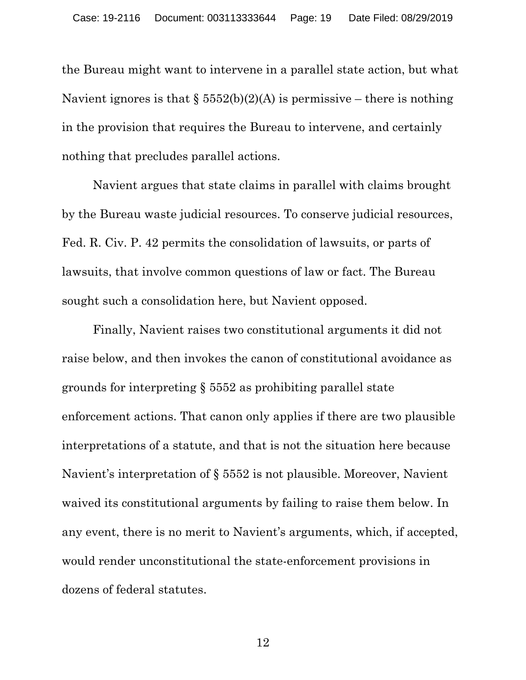the Bureau might want to intervene in a parallel state action, but what Navient ignores is that  $\S 5552(b)(2)(A)$  is permissive – there is nothing in the provision that requires the Bureau to intervene, and certainly nothing that precludes parallel actions.

Navient argues that state claims in parallel with claims brought by the Bureau waste judicial resources. To conserve judicial resources, Fed. R. Civ. P. 42 permits the consolidation of lawsuits, or parts of lawsuits, that involve common questions of law or fact. The Bureau sought such a consolidation here, but Navient opposed.

Finally, Navient raises two constitutional arguments it did not raise below, and then invokes the canon of constitutional avoidance as grounds for interpreting § 5552 as prohibiting parallel state enforcement actions. That canon only applies if there are two plausible interpretations of a statute, and that is not the situation here because Navient's interpretation of § 5552 is not plausible. Moreover, Navient waived its constitutional arguments by failing to raise them below. In any event, there is no merit to Navient's arguments, which, if accepted, would render unconstitutional the state-enforcement provisions in dozens of federal statutes.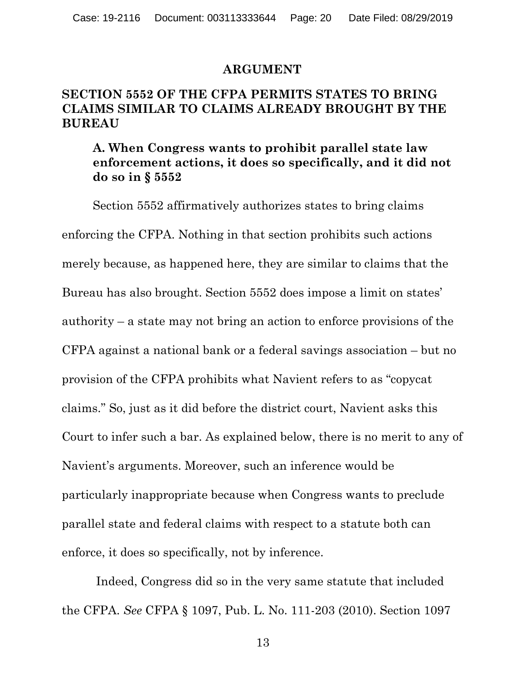#### **ARGUMENT**

#### **SECTION 5552 OF THE CFPA PERMITS STATES TO BRING CLAIMS SIMILAR TO CLAIMS ALREADY BROUGHT BY THE BUREAU**

### **A. When Congress wants to prohibit parallel state law enforcement actions, it does so specifically, and it did not do so in § 5552**

Section 5552 affirmatively authorizes states to bring claims enforcing the CFPA. Nothing in that section prohibits such actions merely because, as happened here, they are similar to claims that the Bureau has also brought. Section 5552 does impose a limit on states' authority – a state may not bring an action to enforce provisions of the CFPA against a national bank or a federal savings association – but no provision of the CFPA prohibits what Navient refers to as "copycat claims." So, just as it did before the district court, Navient asks this Court to infer such a bar. As explained below, there is no merit to any of Navient's arguments. Moreover, such an inference would be particularly inappropriate because when Congress wants to preclude parallel state and federal claims with respect to a statute both can enforce, it does so specifically, not by inference.

 Indeed, Congress did so in the very same statute that included the CFPA. *See* CFPA § 1097, Pub. L. No. 111-203 (2010). Section 1097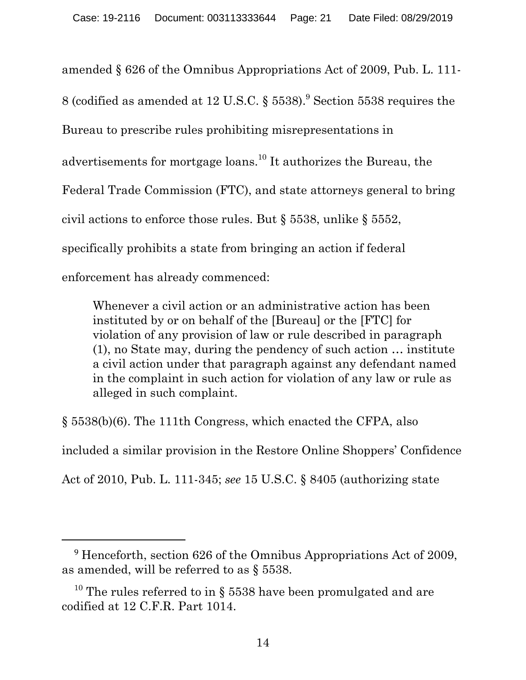amended § 626 of the Omnibus Appropriations Act of 2009, Pub. L. 111- 8 (codified as amended at 12 U.S.C.  $\S 5538$ ).<sup>9</sup> Section 5538 requires the Bureau to prescribe rules prohibiting misrepresentations in advertisements for mortgage loans.<sup>10</sup> It authorizes the Bureau, the Federal Trade Commission (FTC), and state attorneys general to bring civil actions to enforce those rules. But § 5538, unlike § 5552, specifically prohibits a state from bringing an action if federal enforcement has already commenced:

Whenever a civil action or an administrative action has been instituted by or on behalf of the [Bureau] or the [FTC] for violation of any provision of law or rule described in paragraph (1), no State may, during the pendency of such action … institute a civil action under that paragraph against any defendant named in the complaint in such action for violation of any law or rule as alleged in such complaint.

§ 5538(b)(6). The 111th Congress, which enacted the CFPA, also included a similar provision in the Restore Online Shoppers' Confidence Act of 2010, Pub. L. 111-345; *see* 15 U.S.C. § 8405 (authorizing state

 <sup>9</sup> Henceforth, section 626 of the Omnibus Appropriations Act of 2009, as amended, will be referred to as § 5538.

<sup>&</sup>lt;sup>10</sup> The rules referred to in § 5538 have been promulgated and are codified at 12 C.F.R. Part 1014.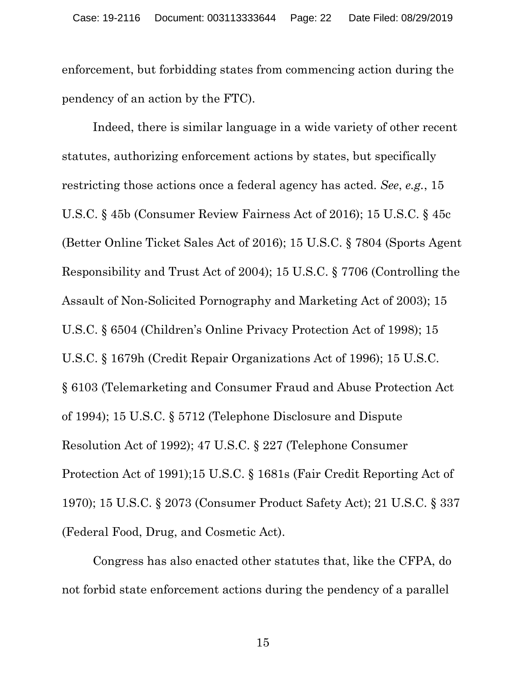enforcement, but forbidding states from commencing action during the pendency of an action by the FTC).

Indeed, there is similar language in a wide variety of other recent statutes, authorizing enforcement actions by states, but specifically restricting those actions once a federal agency has acted. *See*, *e.g.*, 15 U.S.C. § 45b (Consumer Review Fairness Act of 2016); 15 U.S.C. § 45c (Better Online Ticket Sales Act of 2016); 15 U.S.C. § 7804 (Sports Agent Responsibility and Trust Act of 2004); 15 U.S.C. § 7706 (Controlling the Assault of Non-Solicited Pornography and Marketing Act of 2003); 15 U.S.C. § 6504 (Children's Online Privacy Protection Act of 1998); 15 U.S.C. § 1679h (Credit Repair Organizations Act of 1996); 15 U.S.C. § 6103 (Telemarketing and Consumer Fraud and Abuse Protection Act of 1994); 15 U.S.C. § 5712 (Telephone Disclosure and Dispute Resolution Act of 1992); 47 U.S.C. § 227 (Telephone Consumer Protection Act of 1991);15 U.S.C. § 1681s (Fair Credit Reporting Act of 1970); 15 U.S.C. § 2073 (Consumer Product Safety Act); 21 U.S.C. § 337 (Federal Food, Drug, and Cosmetic Act).

Congress has also enacted other statutes that, like the CFPA, do not forbid state enforcement actions during the pendency of a parallel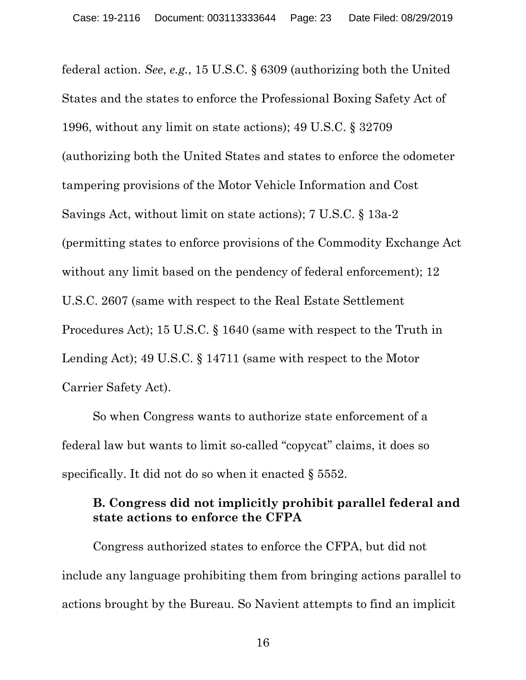federal action. *See*, *e.g.*, 15 U.S.C. § 6309 (authorizing both the United States and the states to enforce the Professional Boxing Safety Act of 1996, without any limit on state actions); 49 U.S.C. § 32709 (authorizing both the United States and states to enforce the odometer tampering provisions of the Motor Vehicle Information and Cost Savings Act, without limit on state actions); 7 U.S.C. § 13a-2 (permitting states to enforce provisions of the Commodity Exchange Act without any limit based on the pendency of federal enforcement); 12 U.S.C. 2607 (same with respect to the Real Estate Settlement Procedures Act); 15 U.S.C. § 1640 (same with respect to the Truth in Lending Act); 49 U.S.C. § 14711 (same with respect to the Motor Carrier Safety Act).

So when Congress wants to authorize state enforcement of a federal law but wants to limit so-called "copycat" claims, it does so specifically. It did not do so when it enacted § 5552.

#### **B. Congress did not implicitly prohibit parallel federal and state actions to enforce the CFPA**

Congress authorized states to enforce the CFPA, but did not include any language prohibiting them from bringing actions parallel to actions brought by the Bureau. So Navient attempts to find an implicit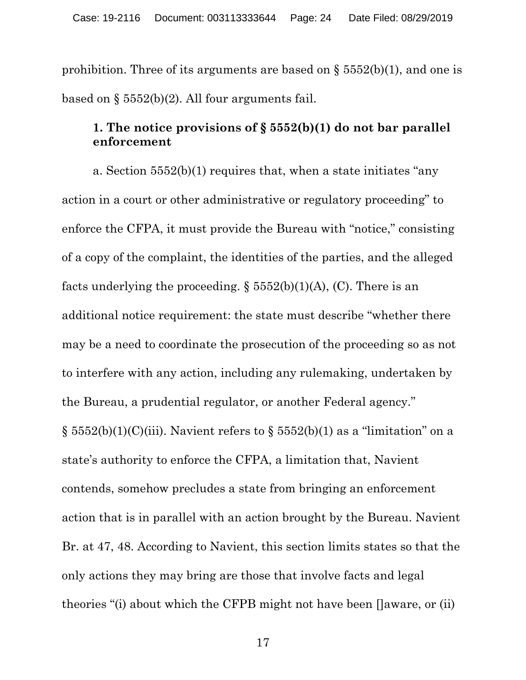prohibition. Three of its arguments are based on  $\S 5552(b)(1)$ , and one is based on  $\S$  5552(b)(2). All four arguments fail.

# **1. The notice provisions of § 5552(b)(1) do not bar parallel enforcement**

 a. Section 5552(b)(1) requires that, when a state initiates "any action in a court or other administrative or regulatory proceeding" to enforce the CFPA, it must provide the Bureau with "notice," consisting of a copy of the complaint, the identities of the parties, and the alleged facts underlying the proceeding.  $\S 5552(b)(1)(A)$ , (C). There is an additional notice requirement: the state must describe "whether there may be a need to coordinate the prosecution of the proceeding so as not to interfere with any action, including any rulemaking, undertaken by the Bureau, a prudential regulator, or another Federal agency." §  $5552(b)(1)(C)(iii)$ . Navient refers to §  $5552(b)(1)$  as a "limitation" on a state's authority to enforce the CFPA, a limitation that, Navient contends, somehow precludes a state from bringing an enforcement action that is in parallel with an action brought by the Bureau. Navient Br. at 47, 48. According to Navient, this section limits states so that the only actions they may bring are those that involve facts and legal theories "(i) about which the CFPB might not have been []aware, or (ii)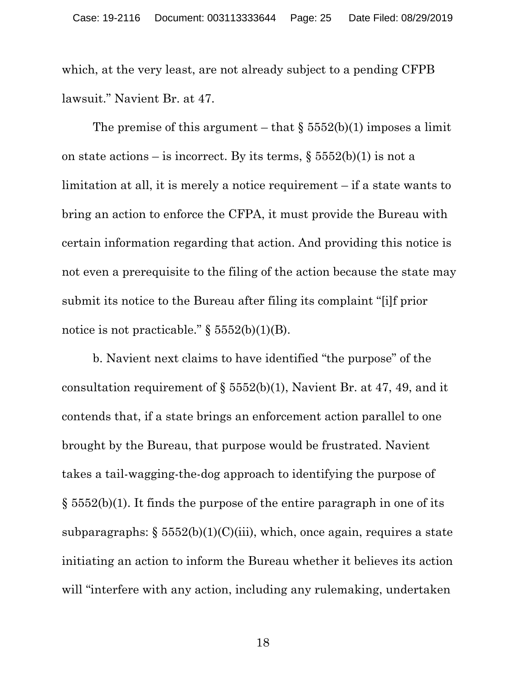which, at the very least, are not already subject to a pending CFPB lawsuit." Navient Br. at 47.

The premise of this argument – that  $\S$  5552(b)(1) imposes a limit on state actions – is incorrect. By its terms,  $\S 5552(b)(1)$  is not a limitation at all, it is merely a notice requirement – if a state wants to bring an action to enforce the CFPA, it must provide the Bureau with certain information regarding that action. And providing this notice is not even a prerequisite to the filing of the action because the state may submit its notice to the Bureau after filing its complaint "[i]f prior notice is not practicable."  $\S 5552(b)(1)(B)$ .

b. Navient next claims to have identified "the purpose" of the consultation requirement of  $\S 5552(b)(1)$ , Navient Br. at 47, 49, and it contends that, if a state brings an enforcement action parallel to one brought by the Bureau, that purpose would be frustrated. Navient takes a tail-wagging-the-dog approach to identifying the purpose of § 5552(b)(1). It finds the purpose of the entire paragraph in one of its subparagraphs:  $\S 5552(b)(1)(C)(iii)$ , which, once again, requires a state initiating an action to inform the Bureau whether it believes its action will "interfere with any action, including any rulemaking, undertaken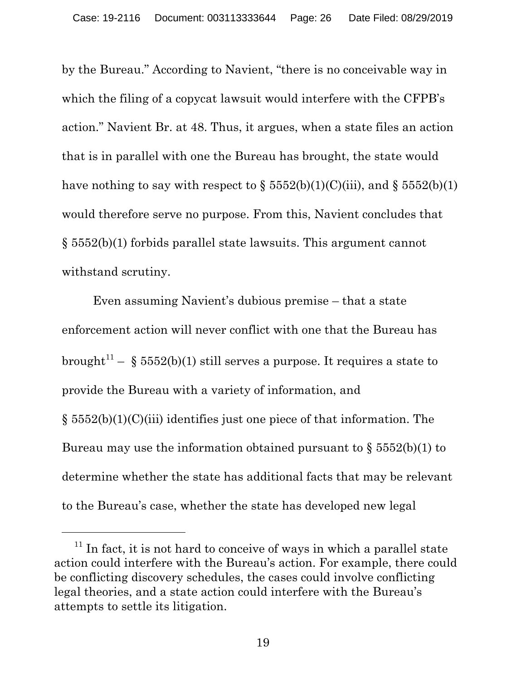by the Bureau." According to Navient, "there is no conceivable way in which the filing of a copycat lawsuit would interfere with the CFPB's action." Navient Br. at 48. Thus, it argues, when a state files an action that is in parallel with one the Bureau has brought, the state would have nothing to say with respect to  $\S 5552(b)(1)(C)(iii)$ , and  $\S 5552(b)(1)$ would therefore serve no purpose. From this, Navient concludes that § 5552(b)(1) forbids parallel state lawsuits. This argument cannot withstand scrutiny.

Even assuming Navient's dubious premise – that a state enforcement action will never conflict with one that the Bureau has brought<sup>11</sup> – § 5552(b)(1) still serves a purpose. It requires a state to provide the Bureau with a variety of information, and § 5552(b)(1)(C)(iii) identifies just one piece of that information. The Bureau may use the information obtained pursuant to  $\S$  5552(b)(1) to determine whether the state has additional facts that may be relevant to the Bureau's case, whether the state has developed new legal

 $\overline{a}$ 

 $11$  In fact, it is not hard to conceive of ways in which a parallel state action could interfere with the Bureau's action. For example, there could be conflicting discovery schedules, the cases could involve conflicting legal theories, and a state action could interfere with the Bureau's attempts to settle its litigation.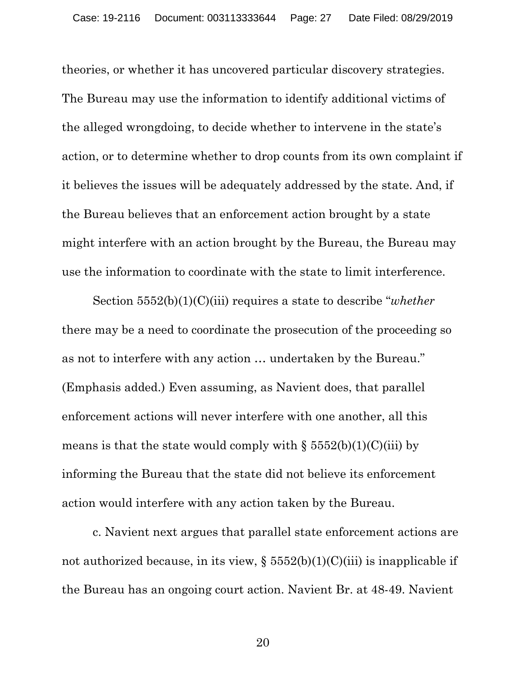theories, or whether it has uncovered particular discovery strategies. The Bureau may use the information to identify additional victims of the alleged wrongdoing, to decide whether to intervene in the state's action, or to determine whether to drop counts from its own complaint if it believes the issues will be adequately addressed by the state. And, if the Bureau believes that an enforcement action brought by a state might interfere with an action brought by the Bureau, the Bureau may use the information to coordinate with the state to limit interference.

Section 5552(b)(1)(C)(iii) requires a state to describe "*whether*  there may be a need to coordinate the prosecution of the proceeding so as not to interfere with any action … undertaken by the Bureau." (Emphasis added.) Even assuming, as Navient does, that parallel enforcement actions will never interfere with one another, all this means is that the state would comply with  $\S$  5552(b)(1)(C)(iii) by informing the Bureau that the state did not believe its enforcement action would interfere with any action taken by the Bureau.

c. Navient next argues that parallel state enforcement actions are not authorized because, in its view,  $\S 5552(b)(1)(C)(iii)$  is inapplicable if the Bureau has an ongoing court action. Navient Br. at 48-49. Navient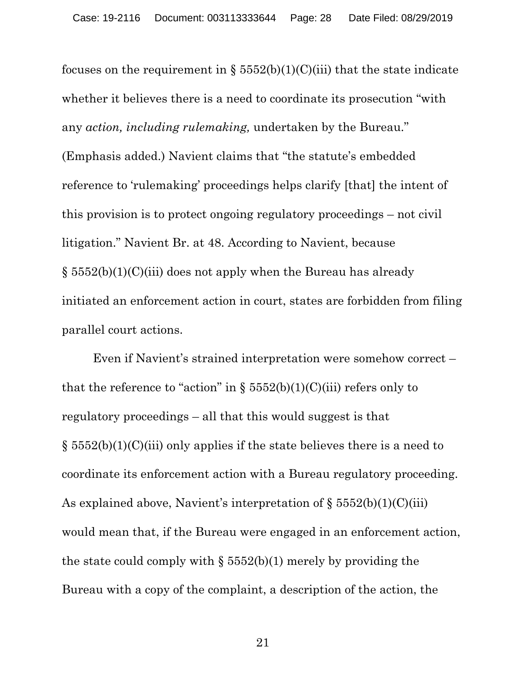focuses on the requirement in §  $5552(b)(1)(C)(iii)$  that the state indicate whether it believes there is a need to coordinate its prosecution "with any *action, including rulemaking,* undertaken by the Bureau." (Emphasis added.) Navient claims that "the statute's embedded reference to 'rulemaking' proceedings helps clarify [that] the intent of this provision is to protect ongoing regulatory proceedings – not civil litigation." Navient Br. at 48. According to Navient, because § 5552(b)(1)(C)(iii) does not apply when the Bureau has already initiated an enforcement action in court, states are forbidden from filing parallel court actions.

Even if Navient's strained interpretation were somehow correct – that the reference to "action" in  $\S 5552(b)(1)(C)(iii)$  refers only to regulatory proceedings – all that this would suggest is that  $\S$  5552(b)(1)(C)(iii) only applies if the state believes there is a need to coordinate its enforcement action with a Bureau regulatory proceeding. As explained above, Navient's interpretation of  $\S 5552(b)(1)(C)(iii)$ would mean that, if the Bureau were engaged in an enforcement action, the state could comply with  $\S 5552(b)(1)$  merely by providing the Bureau with a copy of the complaint, a description of the action, the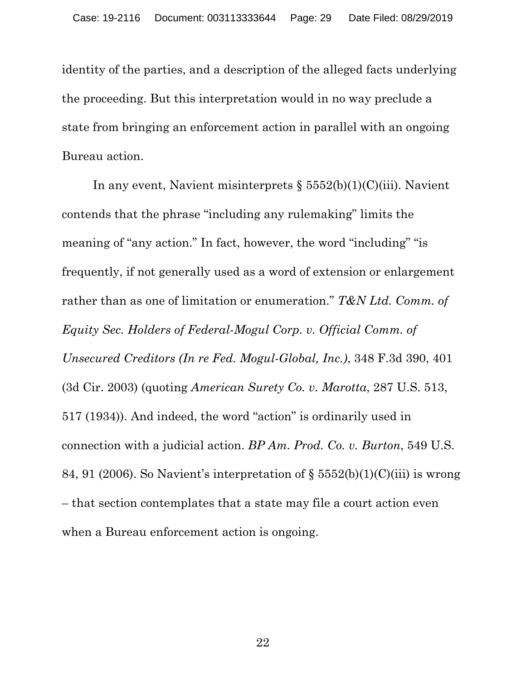identity of the parties, and a description of the alleged facts underlying the proceeding. But this interpretation would in no way preclude a state from bringing an enforcement action in parallel with an ongoing Bureau action.

In any event, Navient misinterprets  $\S 5552(b)(1)(C)(iii)$ . Navient contends that the phrase "including any rulemaking" limits the meaning of "any action." In fact, however, the word "including" "is frequently, if not generally used as a word of extension or enlargement rather than as one of limitation or enumeration." *T&N Ltd. Comm. of Equity Sec. Holders of Federal-Mogul Corp. v. Official Comm. of Unsecured Creditors (In re Fed. Mogul-Global, Inc.)*, 348 F.3d 390, 401 (3d Cir. 2003) (quoting *American Surety Co. v. Marotta*, 287 U.S. 513, 517 (1934)). And indeed, the word "action" is ordinarily used in connection with a judicial action. *BP Am. Prod. Co. v. Burton*, 549 U.S. 84, 91 (2006). So Navient's interpretation of  $\S 5552(b)(1)(C)(iii)$  is wrong – that section contemplates that a state may file a court action even when a Bureau enforcement action is ongoing.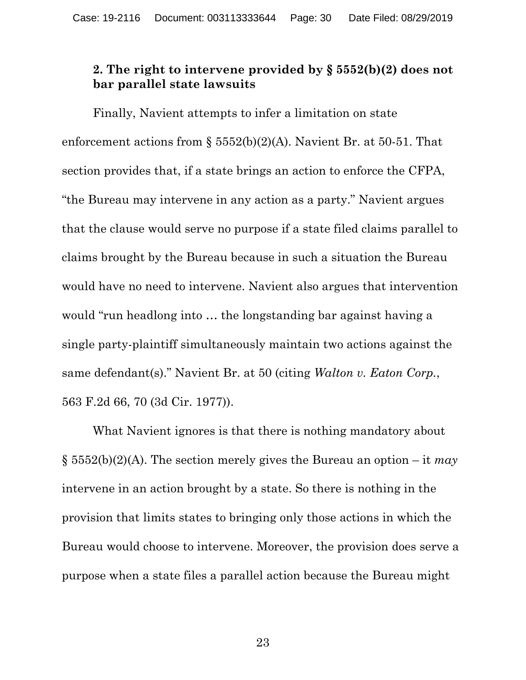## **2. The right to intervene provided by § 5552(b)(2) does not bar parallel state lawsuits**

Finally, Navient attempts to infer a limitation on state enforcement actions from  $\S$  5552(b)(2)(A). Navient Br. at 50-51. That section provides that, if a state brings an action to enforce the CFPA, "the Bureau may intervene in any action as a party." Navient argues that the clause would serve no purpose if a state filed claims parallel to claims brought by the Bureau because in such a situation the Bureau would have no need to intervene. Navient also argues that intervention would "run headlong into … the longstanding bar against having a single party-plaintiff simultaneously maintain two actions against the same defendant(s)." Navient Br. at 50 (citing *Walton v. Eaton Corp.*, 563 F.2d 66, 70 (3d Cir. 1977)).

What Navient ignores is that there is nothing mandatory about § 5552(b)(2)(A). The section merely gives the Bureau an option – it *may*  intervene in an action brought by a state. So there is nothing in the provision that limits states to bringing only those actions in which the Bureau would choose to intervene. Moreover, the provision does serve a purpose when a state files a parallel action because the Bureau might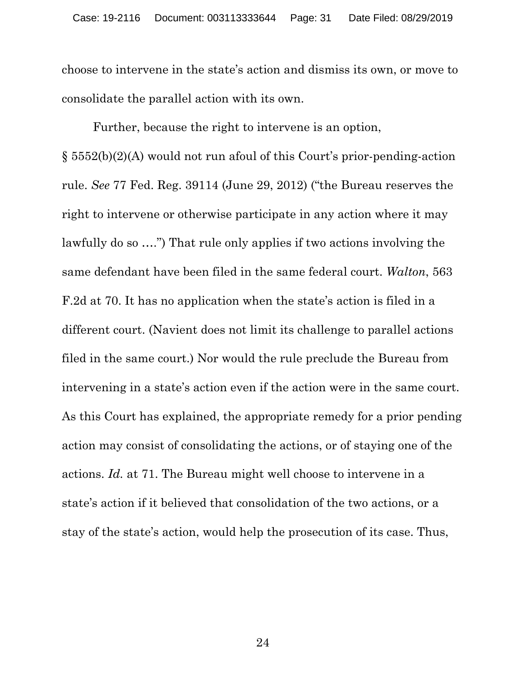choose to intervene in the state's action and dismiss its own, or move to consolidate the parallel action with its own.

Further, because the right to intervene is an option, § 5552(b)(2)(A) would not run afoul of this Court's prior-pending-action rule. *See* 77 Fed. Reg. 39114 (June 29, 2012) ("the Bureau reserves the right to intervene or otherwise participate in any action where it may lawfully do so ….") That rule only applies if two actions involving the same defendant have been filed in the same federal court. *Walton*, 563 F.2d at 70. It has no application when the state's action is filed in a different court. (Navient does not limit its challenge to parallel actions filed in the same court.) Nor would the rule preclude the Bureau from intervening in a state's action even if the action were in the same court. As this Court has explained, the appropriate remedy for a prior pending action may consist of consolidating the actions, or of staying one of the actions. *Id.* at 71. The Bureau might well choose to intervene in a state's action if it believed that consolidation of the two actions, or a stay of the state's action, would help the prosecution of its case. Thus,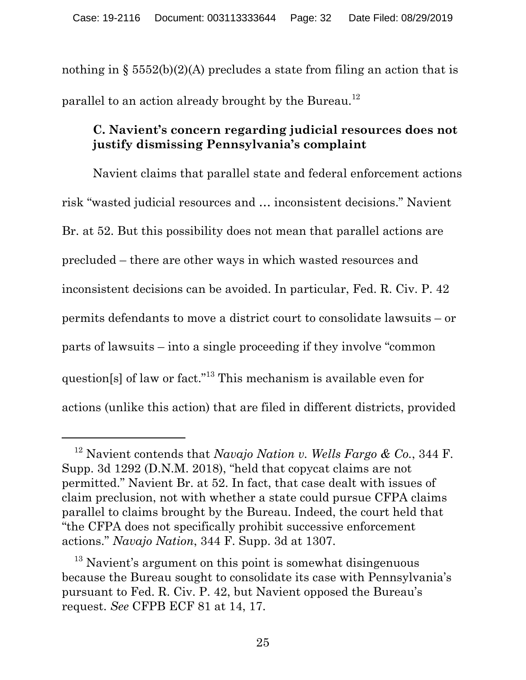nothing in §  $5552(b)(2)(A)$  precludes a state from filing an action that is parallel to an action already brought by the Bureau.<sup>12</sup>

# **C. Navient's concern regarding judicial resources does not justify dismissing Pennsylvania's complaint**

Navient claims that parallel state and federal enforcement actions risk "wasted judicial resources and … inconsistent decisions." Navient Br. at 52. But this possibility does not mean that parallel actions are precluded – there are other ways in which wasted resources and inconsistent decisions can be avoided. In particular, Fed. R. Civ. P. 42 permits defendants to move a district court to consolidate lawsuits – or parts of lawsuits – into a single proceeding if they involve "common question[s] of law or fact."13 This mechanism is available even for actions (unlike this action) that are filed in different districts, provided

 $\overline{a}$ 

<sup>12</sup> Navient contends that *Navajo Nation v. Wells Fargo & Co.*, 344 F. Supp. 3d 1292 (D.N.M. 2018), "held that copycat claims are not permitted." Navient Br. at 52. In fact, that case dealt with issues of claim preclusion, not with whether a state could pursue CFPA claims parallel to claims brought by the Bureau. Indeed, the court held that "the CFPA does not specifically prohibit successive enforcement actions." *Navajo Nation*, 344 F. Supp. 3d at 1307.

<sup>&</sup>lt;sup>13</sup> Navient's argument on this point is somewhat disingenuous because the Bureau sought to consolidate its case with Pennsylvania's pursuant to Fed. R. Civ. P. 42, but Navient opposed the Bureau's request. *See* CFPB ECF 81 at 14, 17.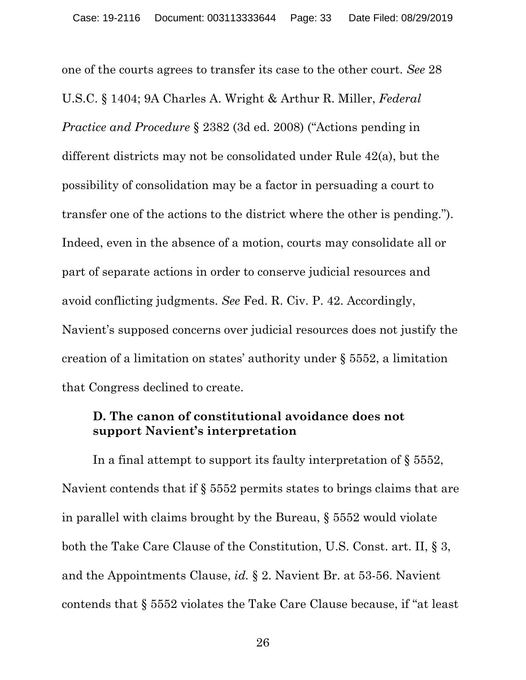one of the courts agrees to transfer its case to the other court. *See* 28 U.S.C. § 1404; 9A Charles A. Wright & Arthur R. Miller, *Federal Practice and Procedure* § 2382 (3d ed. 2008) ("Actions pending in different districts may not be consolidated under Rule 42(a), but the possibility of consolidation may be a factor in persuading a court to transfer one of the actions to the district where the other is pending."). Indeed, even in the absence of a motion, courts may consolidate all or part of separate actions in order to conserve judicial resources and avoid conflicting judgments. *See* Fed. R. Civ. P. 42. Accordingly, Navient's supposed concerns over judicial resources does not justify the creation of a limitation on states' authority under § 5552, a limitation that Congress declined to create.

#### **D. The canon of constitutional avoidance does not support Navient's interpretation**

In a final attempt to support its faulty interpretation of § 5552, Navient contends that if § 5552 permits states to brings claims that are in parallel with claims brought by the Bureau, § 5552 would violate both the Take Care Clause of the Constitution, U.S. Const. art. II, § 3, and the Appointments Clause, *id.* § 2. Navient Br. at 53-56. Navient contends that § 5552 violates the Take Care Clause because, if "at least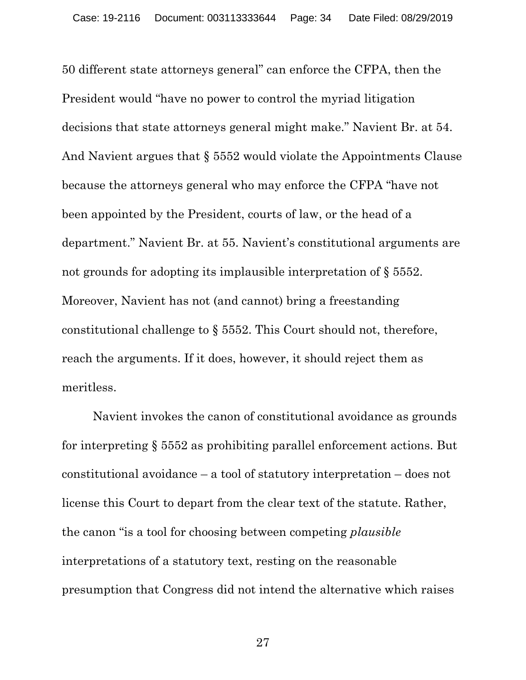50 different state attorneys general" can enforce the CFPA, then the President would "have no power to control the myriad litigation decisions that state attorneys general might make." Navient Br. at 54. And Navient argues that § 5552 would violate the Appointments Clause because the attorneys general who may enforce the CFPA "have not been appointed by the President, courts of law, or the head of a department." Navient Br. at 55. Navient's constitutional arguments are not grounds for adopting its implausible interpretation of § 5552. Moreover, Navient has not (and cannot) bring a freestanding constitutional challenge to § 5552. This Court should not, therefore, reach the arguments. If it does, however, it should reject them as meritless.

Navient invokes the canon of constitutional avoidance as grounds for interpreting § 5552 as prohibiting parallel enforcement actions. But constitutional avoidance – a tool of statutory interpretation – does not license this Court to depart from the clear text of the statute. Rather, the canon "is a tool for choosing between competing *plausible* interpretations of a statutory text, resting on the reasonable presumption that Congress did not intend the alternative which raises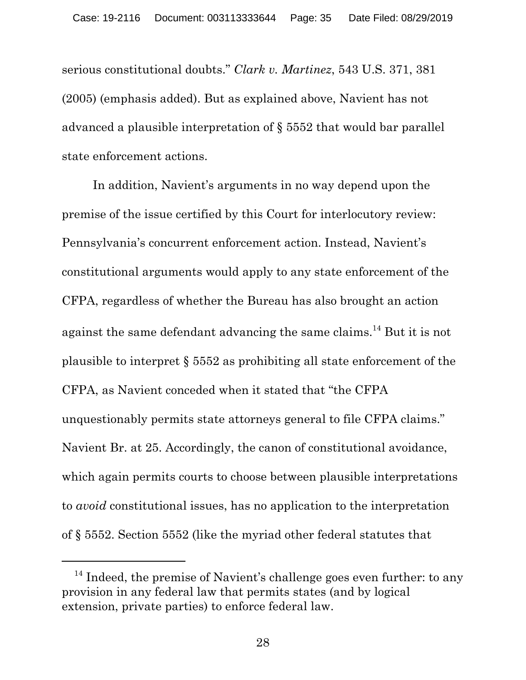serious constitutional doubts." *Clark v. Martinez*, 543 U.S. 371, 381 (2005) (emphasis added). But as explained above, Navient has not advanced a plausible interpretation of § 5552 that would bar parallel state enforcement actions.

In addition, Navient's arguments in no way depend upon the premise of the issue certified by this Court for interlocutory review: Pennsylvania's concurrent enforcement action. Instead, Navient's constitutional arguments would apply to any state enforcement of the CFPA, regardless of whether the Bureau has also brought an action against the same defendant advancing the same claims.14 But it is not plausible to interpret § 5552 as prohibiting all state enforcement of the CFPA, as Navient conceded when it stated that "the CFPA unquestionably permits state attorneys general to file CFPA claims." Navient Br. at 25. Accordingly, the canon of constitutional avoidance, which again permits courts to choose between plausible interpretations to *avoid* constitutional issues, has no application to the interpretation of § 5552. Section 5552 (like the myriad other federal statutes that

-

 $14$  Indeed, the premise of Navient's challenge goes even further: to any provision in any federal law that permits states (and by logical extension, private parties) to enforce federal law.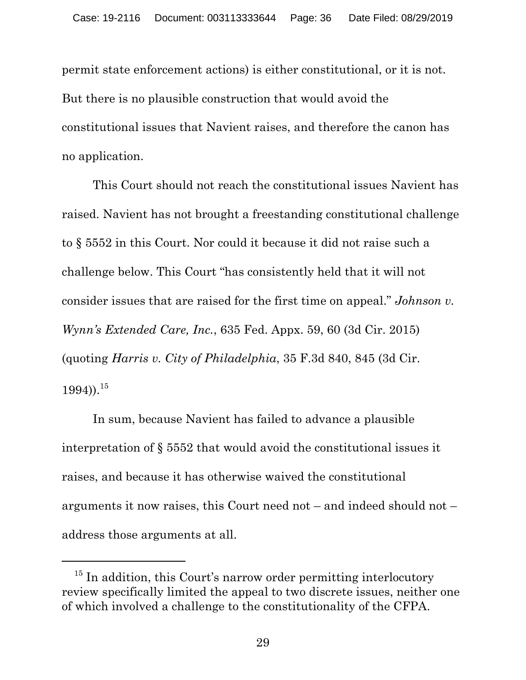permit state enforcement actions) is either constitutional, or it is not. But there is no plausible construction that would avoid the constitutional issues that Navient raises, and therefore the canon has no application.

This Court should not reach the constitutional issues Navient has raised. Navient has not brought a freestanding constitutional challenge to § 5552 in this Court. Nor could it because it did not raise such a challenge below. This Court "has consistently held that it will not consider issues that are raised for the first time on appeal." *Johnson v. Wynn's Extended Care, Inc.*, 635 Fed. Appx. 59, 60 (3d Cir. 2015) (quoting *Harris v. City of Philadelphia*, 35 F.3d 840, 845 (3d Cir.  $1994)$ ).<sup>15</sup>

In sum, because Navient has failed to advance a plausible interpretation of § 5552 that would avoid the constitutional issues it raises, and because it has otherwise waived the constitutional arguments it now raises, this Court need not – and indeed should not – address those arguments at all.

 $\overline{a}$ 

<sup>&</sup>lt;sup>15</sup> In addition, this Court's narrow order permitting interlocutory review specifically limited the appeal to two discrete issues, neither one of which involved a challenge to the constitutionality of the CFPA.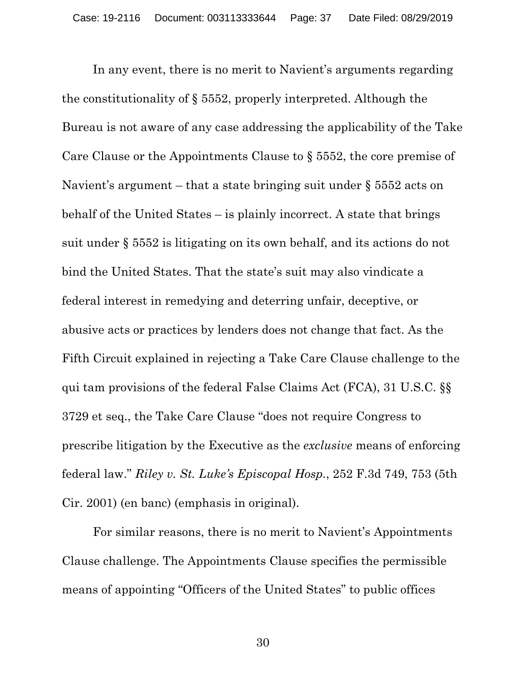In any event, there is no merit to Navient's arguments regarding the constitutionality of § 5552, properly interpreted. Although the Bureau is not aware of any case addressing the applicability of the Take Care Clause or the Appointments Clause to § 5552, the core premise of Navient's argument – that a state bringing suit under § 5552 acts on behalf of the United States – is plainly incorrect. A state that brings suit under § 5552 is litigating on its own behalf, and its actions do not bind the United States. That the state's suit may also vindicate a federal interest in remedying and deterring unfair, deceptive, or abusive acts or practices by lenders does not change that fact. As the Fifth Circuit explained in rejecting a Take Care Clause challenge to the qui tam provisions of the federal False Claims Act (FCA), 31 U.S.C. §§ 3729 et seq., the Take Care Clause "does not require Congress to prescribe litigation by the Executive as the *exclusive* means of enforcing federal law." *Riley v. St. Luke's Episcopal Hosp.*, 252 F.3d 749, 753 (5th Cir. 2001) (en banc) (emphasis in original).

For similar reasons, there is no merit to Navient's Appointments Clause challenge. The Appointments Clause specifies the permissible means of appointing "Officers of the United States" to public offices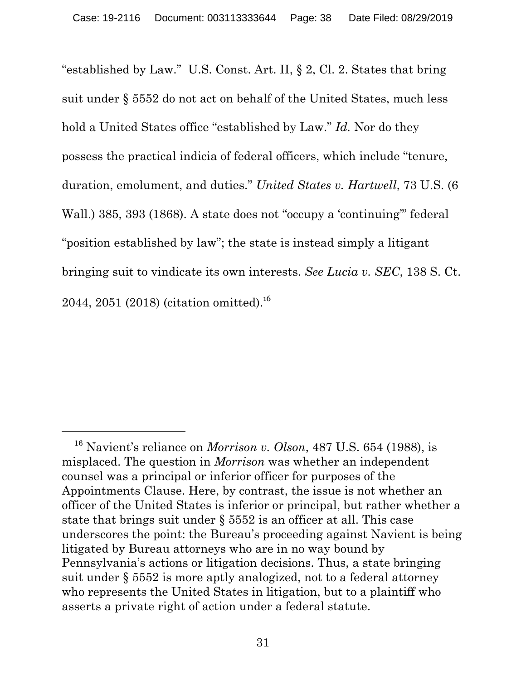"established by Law." U.S. Const. Art. II, § 2, Cl. 2. States that bring suit under § 5552 do not act on behalf of the United States, much less hold a United States office "established by Law." *Id.* Nor do they possess the practical indicia of federal officers, which include "tenure, duration, emolument, and duties." *United States v. Hartwell*, 73 U.S. (6 Wall.) 385, 393 (1868). A state does not "occupy a 'continuing'" federal "position established by law"; the state is instead simply a litigant bringing suit to vindicate its own interests. *See Lucia v. SEC*, 138 S. Ct. 2044, 2051 (2018) (citation omitted).<sup>16</sup>

 $\overline{a}$ 

<sup>16</sup> Navient's reliance on *Morrison v. Olson*, 487 U.S. 654 (1988), is misplaced. The question in *Morrison* was whether an independent counsel was a principal or inferior officer for purposes of the Appointments Clause. Here, by contrast, the issue is not whether an officer of the United States is inferior or principal, but rather whether a state that brings suit under § 5552 is an officer at all. This case underscores the point: the Bureau's proceeding against Navient is being litigated by Bureau attorneys who are in no way bound by Pennsylvania's actions or litigation decisions. Thus, a state bringing suit under § 5552 is more aptly analogized, not to a federal attorney who represents the United States in litigation, but to a plaintiff who asserts a private right of action under a federal statute.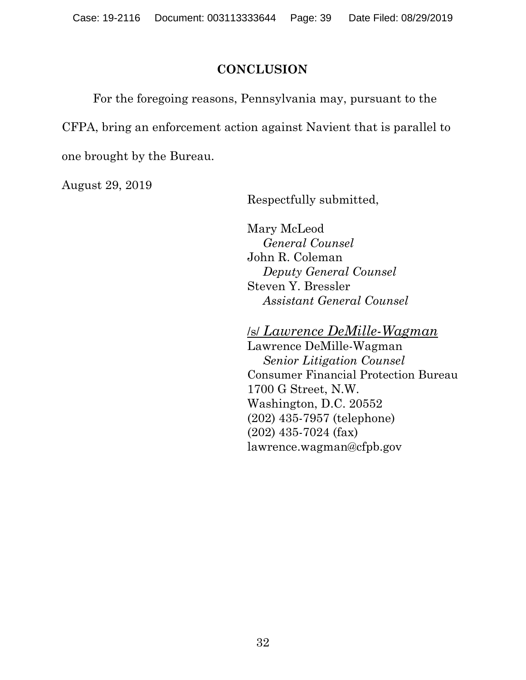## **CONCLUSION**

For the foregoing reasons, Pennsylvania may, pursuant to the CFPA, bring an enforcement action against Navient that is parallel to one brought by the Bureau.

August 29, 2019

Respectfully submitted,

Mary McLeod *General Counsel*  John R. Coleman *Deputy General Counsel*  Steven Y. Bressler *Assistant General Counsel* 

/s/ *Lawrence DeMille-Wagman*

Lawrence DeMille-Wagman *Senior Litigation Counsel*  Consumer Financial Protection Bureau 1700 G Street, N.W. Washington, D.C. 20552 (202) 435-7957 (telephone) (202) 435-7024 (fax) lawrence.wagman@cfpb.gov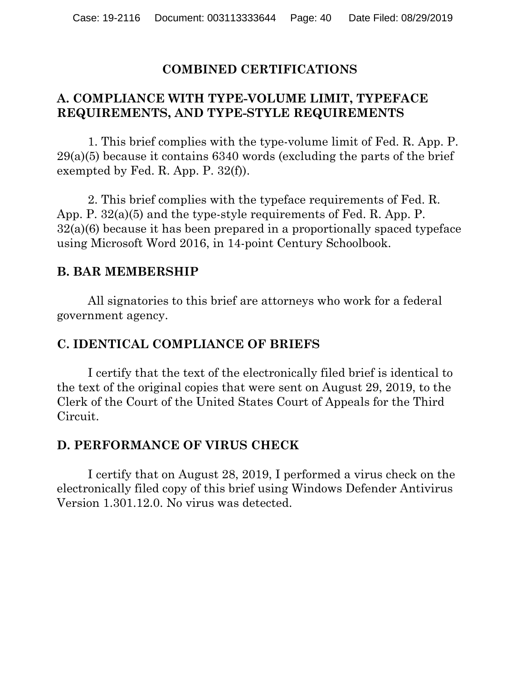#### **COMBINED CERTIFICATIONS**

## **A. COMPLIANCE WITH TYPE-VOLUME LIMIT, TYPEFACE REQUIREMENTS, AND TYPE-STYLE REQUIREMENTS**

1. This brief complies with the type-volume limit of Fed. R. App. P. 29(a)(5) because it contains 6340 words (excluding the parts of the brief exempted by Fed. R. App. P. 32(f)).

2. This brief complies with the typeface requirements of Fed. R. App. P. 32(a)(5) and the type-style requirements of Fed. R. App. P. 32(a)(6) because it has been prepared in a proportionally spaced typeface using Microsoft Word 2016, in 14-point Century Schoolbook.

#### **B. BAR MEMBERSHIP**

All signatories to this brief are attorneys who work for a federal government agency.

#### **C. IDENTICAL COMPLIANCE OF BRIEFS**

I certify that the text of the electronically filed brief is identical to the text of the original copies that were sent on August 29, 2019, to the Clerk of the Court of the United States Court of Appeals for the Third Circuit.

#### **D. PERFORMANCE OF VIRUS CHECK**

I certify that on August 28, 2019, I performed a virus check on the electronically filed copy of this brief using Windows Defender Antivirus Version 1.301.12.0. No virus was detected.